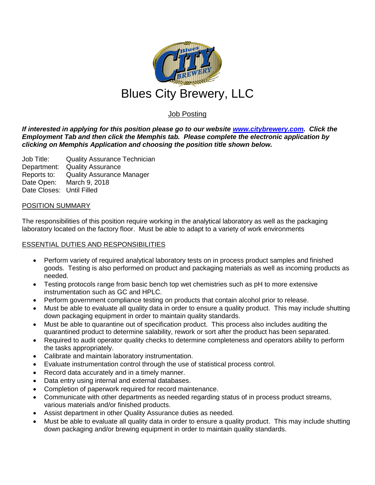

# Job Posting

*If interested in applying for this position please go to our website [www.citybrewery.com.](http://www.citybrewery.com/) Click the Employment Tab and then click the Memphis tab. Please complete the electronic application by clicking on Memphis Application and choosing the position title shown below.*

Job Title: Quality Assurance Technician Department: Quality Assurance Reports to: Quality Assurance Manager Date Open: March 9, 2018 Date Closes: Until Filled

## POSITION SUMMARY

The responsibilities of this position require working in the analytical laboratory as well as the packaging laboratory located on the factory floor. Must be able to adapt to a variety of work environments

## ESSENTIAL DUTIES AND RESPONSIBILITIES

- Perform variety of required analytical laboratory tests on in process product samples and finished goods. Testing is also performed on product and packaging materials as well as incoming products as needed.
- Testing protocols range from basic bench top wet chemistries such as pH to more extensive instrumentation such as GC and HPLC.
- Perform government compliance testing on products that contain alcohol prior to release.
- Must be able to evaluate all quality data in order to ensure a quality product. This may include shutting down packaging equipment in order to maintain quality standards.
- Must be able to quarantine out of specification product. This process also includes auditing the quarantined product to determine salability, rework or sort after the product has been separated.
- Required to audit operator quality checks to determine completeness and operators ability to perform the tasks appropriately.
- Calibrate and maintain laboratory instrumentation.
- Evaluate instrumentation control through the use of statistical process control.
- Record data accurately and in a timely manner.
- Data entry using internal and external databases.
- Completion of paperwork required for record maintenance.
- Communicate with other departments as needed regarding status of in process product streams, various materials and/or finished products.
- Assist department in other Quality Assurance duties as needed.
- Must be able to evaluate all quality data in order to ensure a quality product. This may include shutting down packaging and/or brewing equipment in order to maintain quality standards.